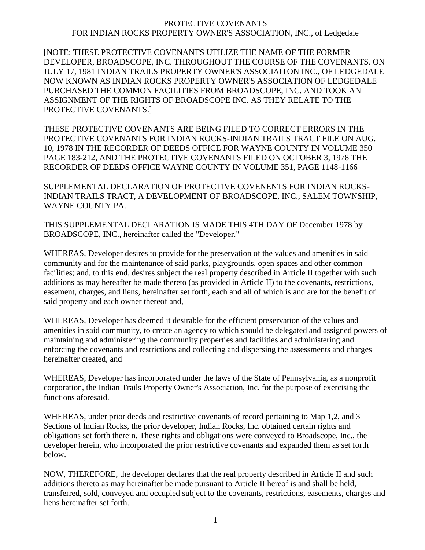#### PROTECTIVE COVENANTS FOR INDIAN ROCKS PROPERTY OWNER'S ASSOCIATION, INC., of Ledgedale

[NOTE: THESE PROTECTIVE COVENANTS UTILIZE THE NAME OF THE FORMER DEVELOPER, BROADSCOPE, INC. THROUGHOUT THE COURSE OF THE COVENANTS. ON JULY 17, 1981 INDIAN TRAILS PROPERTY OWNER'S ASSOCIAITON INC., OF LEDGEDALE NOW KNOWN AS INDIAN ROCKS PROPERTY OWNER'S ASSOCIATION OF LEDGEDALE PURCHASED THE COMMON FACILITIES FROM BROADSCOPE, INC. AND TOOK AN ASSIGNMENT OF THE RIGHTS OF BROADSCOPE INC. AS THEY RELATE TO THE PROTECTIVE COVENANTS.]

THESE PROTECTIVE COVENANTS ARE BEING FILED TO CORRECT ERRORS IN THE PROTECTIVE COVENANTS FOR INDIAN ROCKS-INDIAN TRAILS TRACT FILE ON AUG. 10, 1978 IN THE RECORDER OF DEEDS OFFICE FOR WAYNE COUNTY IN VOLUME 350 PAGE 183-212, AND THE PROTECTIVE COVENANTS FILED ON OCTOBER 3, 1978 THE RECORDER OF DEEDS OFFICE WAYNE COUNTY IN VOLUME 351, PAGE 1148-1166

SUPPLEMENTAL DECLARATION OF PROTECTIVE COVENENTS FOR INDIAN ROCKS-INDIAN TRAILS TRACT, A DEVELOPMENT OF BROADSCOPE, INC., SALEM TOWNSHIP, WAYNE COUNTY PA.

THIS SUPPLEMENTAL DECLARATION IS MADE THIS 4TH DAY OF December 1978 by BROADSCOPE, INC., hereinafter called the "Developer."

WHEREAS, Developer desires to provide for the preservation of the values and amenities in said community and for the maintenance of said parks, playgrounds, open spaces and other common facilities; and, to this end, desires subject the real property described in Article II together with such additions as may hereafter be made thereto (as provided in Article II) to the covenants, restrictions, easement, charges, and liens, hereinafter set forth, each and all of which is and are for the benefit of said property and each owner thereof and,

WHEREAS, Developer has deemed it desirable for the efficient preservation of the values and amenities in said community, to create an agency to which should be delegated and assigned powers of maintaining and administering the community properties and facilities and administering and enforcing the covenants and restrictions and collecting and dispersing the assessments and charges hereinafter created, and

WHEREAS, Developer has incorporated under the laws of the State of Pennsylvania, as a nonprofit corporation, the Indian Trails Property Owner's Association, Inc. for the purpose of exercising the functions aforesaid.

WHEREAS, under prior deeds and restrictive covenants of record pertaining to Map 1,2, and 3 Sections of Indian Rocks, the prior developer, Indian Rocks, Inc. obtained certain rights and obligations set forth therein. These rights and obligations were conveyed to Broadscope, Inc., the developer herein, who incorporated the prior restrictive covenants and expanded them as set forth below.

NOW, THEREFORE, the developer declares that the real property described in Article II and such additions thereto as may hereinafter be made pursuant to Article II hereof is and shall be held, transferred, sold, conveyed and occupied subject to the covenants, restrictions, easements, charges and liens hereinafter set forth.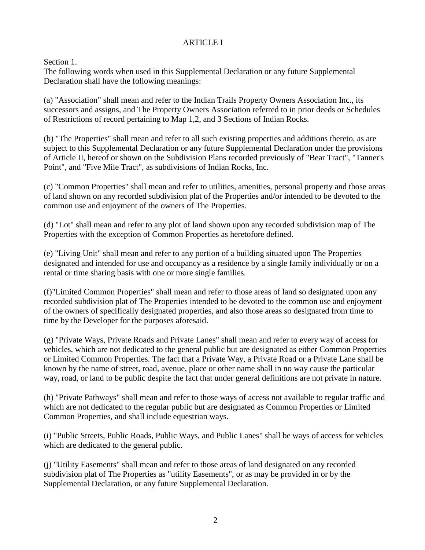# ARTICLE I

Section 1.

The following words when used in this Supplemental Declaration or any future Supplemental Declaration shall have the following meanings:

(a) "Association" shall mean and refer to the Indian Trails Property Owners Association Inc., its successors and assigns, and The Property Owners Association referred to in prior deeds or Schedules of Restrictions of record pertaining to Map 1,2, and 3 Sections of Indian Rocks.

(b) "The Properties" shall mean and refer to all such existing properties and additions thereto, as are subject to this Supplemental Declaration or any future Supplemental Declaration under the provisions of Article II, hereof or shown on the Subdivision Plans recorded previously of "Bear Tract", "Tanner's Point", and "Five Mile Tract", as subdivisions of Indian Rocks, Inc.

(c) "Common Properties" shall mean and refer to utilities, amenities, personal property and those areas of land shown on any recorded subdivision plat of the Properties and/or intended to be devoted to the common use and enjoyment of the owners of The Properties.

(d) "Lot" shall mean and refer to any plot of land shown upon any recorded subdivision map of The Properties with the exception of Common Properties as heretofore defined.

(e) "Living Unit" shall mean and refer to any portion of a building situated upon The Properties designated and intended for use and occupancy as a residence by a single family individually or on a rental or time sharing basis with one or more single families.

(f)"Limited Common Properties" shall mean and refer to those areas of land so designated upon any recorded subdivision plat of The Properties intended to be devoted to the common use and enjoyment of the owners of specifically designated properties, and also those areas so designated from time to time by the Developer for the purposes aforesaid.

(g) "Private Ways, Private Roads and Private Lanes" shall mean and refer to every way of access for vehicles, which are not dedicated to the general public but are designated as either Common Properties or Limited Common Properties. The fact that a Private Way, a Private Road or a Private Lane shall be known by the name of street, road, avenue, place or other name shall in no way cause the particular way, road, or land to be public despite the fact that under general definitions are not private in nature.

(h) "Private Pathways" shall mean and refer to those ways of access not available to regular traffic and which are not dedicated to the regular public but are designated as Common Properties or Limited Common Properties, and shall include equestrian ways.

(i) "Public Streets, Public Roads, Public Ways, and Public Lanes" shall be ways of access for vehicles which are dedicated to the general public.

(j) "Utility Easements" shall mean and refer to those areas of land designated on any recorded subdivision plat of The Properties as "utility Easements", or as may be provided in or by the Supplemental Declaration, or any future Supplemental Declaration.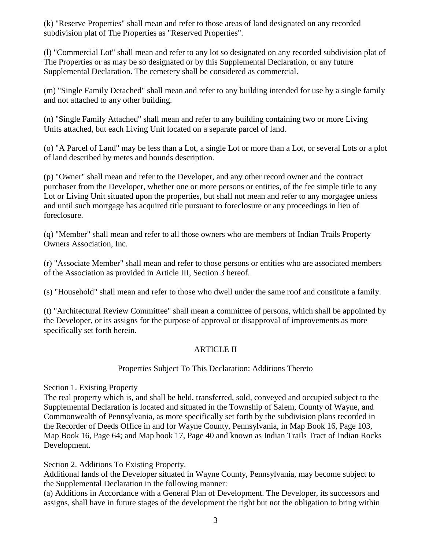(k) "Reserve Properties" shall mean and refer to those areas of land designated on any recorded subdivision plat of The Properties as "Reserved Properties".

(l) "Commercial Lot" shall mean and refer to any lot so designated on any recorded subdivision plat of The Properties or as may be so designated or by this Supplemental Declaration, or any future Supplemental Declaration. The cemetery shall be considered as commercial.

(m) "Single Family Detached" shall mean and refer to any building intended for use by a single family and not attached to any other building.

(n) "Single Family Attached" shall mean and refer to any building containing two or more Living Units attached, but each Living Unit located on a separate parcel of land.

(o) "A Parcel of Land" may be less than a Lot, a single Lot or more than a Lot, or several Lots or a plot of land described by metes and bounds description.

(p) "Owner" shall mean and refer to the Developer, and any other record owner and the contract purchaser from the Developer, whether one or more persons or entities, of the fee simple title to any Lot or Living Unit situated upon the properties, but shall not mean and refer to any morgagee unless and until such mortgage has acquired title pursuant to foreclosure or any proceedings in lieu of foreclosure.

(q) "Member" shall mean and refer to all those owners who are members of Indian Trails Property Owners Association, Inc.

(r) "Associate Member" shall mean and refer to those persons or entities who are associated members of the Association as provided in Article III, Section 3 hereof.

(s) "Household" shall mean and refer to those who dwell under the same roof and constitute a family.

(t) "Architectural Review Committee" shall mean a committee of persons, which shall be appointed by the Developer, or its assigns for the purpose of approval or disapproval of improvements as more specifically set forth herein.

# ARTICLE II

# Properties Subject To This Declaration: Additions Thereto

Section 1. Existing Property

The real property which is, and shall be held, transferred, sold, conveyed and occupied subject to the Supplemental Declaration is located and situated in the Township of Salem, County of Wayne, and Commonwealth of Pennsylvania, as more specifically set forth by the subdivision plans recorded in the Recorder of Deeds Office in and for Wayne County, Pennsylvania, in Map Book 16, Page 103, Map Book 16, Page 64; and Map book 17, Page 40 and known as Indian Trails Tract of Indian Rocks Development.

Section 2. Additions To Existing Property.

Additional lands of the Developer situated in Wayne County, Pennsylvania, may become subject to the Supplemental Declaration in the following manner:

(a) Additions in Accordance with a General Plan of Development. The Developer, its successors and assigns, shall have in future stages of the development the right but not the obligation to bring within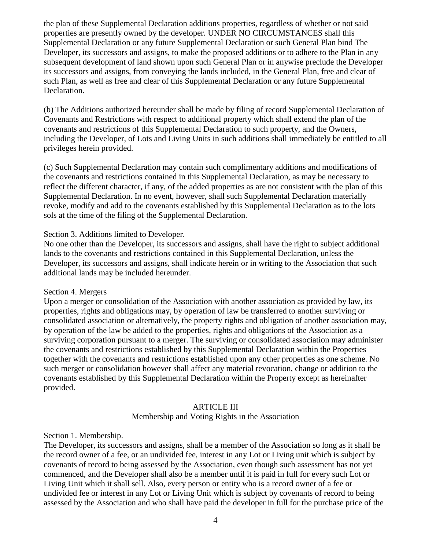the plan of these Supplemental Declaration additions properties, regardless of whether or not said properties are presently owned by the developer. UNDER NO CIRCUMSTANCES shall this Supplemental Declaration or any future Supplemental Declaration or such General Plan bind The Developer, its successors and assigns, to make the proposed additions or to adhere to the Plan in any subsequent development of land shown upon such General Plan or in anywise preclude the Developer its successors and assigns, from conveying the lands included, in the General Plan, free and clear of such Plan, as well as free and clear of this Supplemental Declaration or any future Supplemental Declaration.

 (b) The Additions authorized hereunder shall be made by filing of record Supplemental Declaration of Covenants and Restrictions with respect to additional property which shall extend the plan of the covenants and restrictions of this Supplemental Declaration to such property, and the Owners, including the Developer, of Lots and Living Units in such additions shall immediately be entitled to all privileges herein provided.

(c) Such Supplemental Declaration may contain such complimentary additions and modifications of the covenants and restrictions contained in this Supplemental Declaration, as may be necessary to reflect the different character, if any, of the added properties as are not consistent with the plan of this Supplemental Declaration. In no event, however, shall such Supplemental Declaration materially revoke, modify and add to the covenants established by this Supplemental Declaration as to the lots sols at the time of the filing of the Supplemental Declaration.

### Section 3. Additions limited to Developer.

No one other than the Developer, its successors and assigns, shall have the right to subject additional lands to the covenants and restrictions contained in this Supplemental Declaration, unless the Developer, its successors and assigns, shall indicate herein or in writing to the Association that such additional lands may be included hereunder.

#### Section 4. Mergers

Upon a merger or consolidation of the Association with another association as provided by law, its properties, rights and obligations may, by operation of law be transferred to another surviving or consolidated association or alternatively, the property rights and obligation of another association may, by operation of the law be added to the properties, rights and obligations of the Association as a surviving corporation pursuant to a merger. The surviving or consolidated association may administer the covenants and restrictions established by this Supplemental Declaration within the Properties together with the covenants and restrictions established upon any other properties as one scheme. No such merger or consolidation however shall affect any material revocation, change or addition to the covenants established by this Supplemental Declaration within the Property except as hereinafter provided.

# ARTICLE III

Membership and Voting Rights in the Association

Section 1. Membership.

The Developer, its successors and assigns, shall be a member of the Association so long as it shall be the record owner of a fee, or an undivided fee, interest in any Lot or Living unit which is subject by covenants of record to being assessed by the Association, even though such assessment has not yet commenced, and the Developer shall also be a member until it is paid in full for every such Lot or Living Unit which it shall sell. Also, every person or entity who is a record owner of a fee or undivided fee or interest in any Lot or Living Unit which is subject by covenants of record to being assessed by the Association and who shall have paid the developer in full for the purchase price of the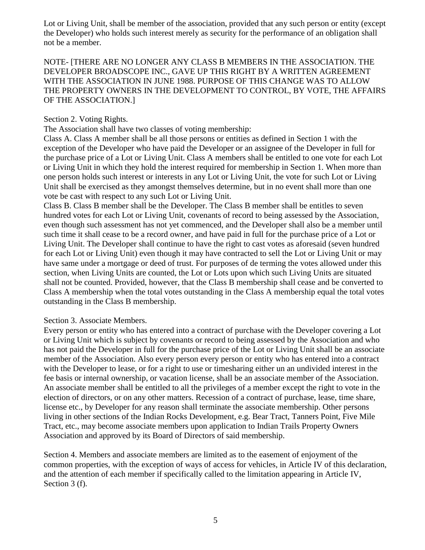Lot or Living Unit, shall be member of the association, provided that any such person or entity (except the Developer) who holds such interest merely as security for the performance of an obligation shall not be a member.

NOTE- [THERE ARE NO LONGER ANY CLASS B MEMBERS IN THE ASSOCIATION. THE DEVELOPER BROADSCOPE INC., GAVE UP THIS RIGHT BY A WRITTEN AGREEMENT WITH THE ASSOCIATION IN JUNE 1988. PURPOSE OF THIS CHANGE WAS TO ALLOW THE PROPERTY OWNERS IN THE DEVELOPMENT TO CONTROL, BY VOTE, THE AFFAIRS OF THE ASSOCIATION.]

### Section 2. Voting Rights.

The Association shall have two classes of voting membership:

Class A. Class A member shall be all those persons or entities as defined in Section 1 with the exception of the Developer who have paid the Developer or an assignee of the Developer in full for the purchase price of a Lot or Living Unit. Class A members shall be entitled to one vote for each Lot or Living Unit in which they hold the interest required for membership in Section 1. When more than one person holds such interest or interests in any Lot or Living Unit, the vote for such Lot or Living Unit shall be exercised as they amongst themselves determine, but in no event shall more than one vote be cast with respect to any such Lot or Living Unit.

Class B. Class B member shall be the Developer. The Class B member shall be entitles to seven hundred votes for each Lot or Living Unit, covenants of record to being assessed by the Association, even though such assessment has not yet commenced, and the Developer shall also be a member until such time it shall cease to be a record owner, and have paid in full for the purchase price of a Lot or Living Unit. The Developer shall continue to have the right to cast votes as aforesaid (seven hundred for each Lot or Living Unit) even though it may have contracted to sell the Lot or Living Unit or may have same under a mortgage or deed of trust. For purposes of de terming the votes allowed under this section, when Living Units are counted, the Lot or Lots upon which such Living Units are situated shall not be counted. Provided, however, that the Class B membership shall cease and be converted to Class A membership when the total votes outstanding in the Class A membership equal the total votes outstanding in the Class B membership.

#### Section 3. Associate Members.

Every person or entity who has entered into a contract of purchase with the Developer covering a Lot or Living Unit which is subject by covenants or record to being assessed by the Association and who has not paid the Developer in full for the purchase price of the Lot or Living Unit shall be an associate member of the Association. Also every person every person or entity who has entered into a contract with the Developer to lease, or for a right to use or timesharing either un an undivided interest in the fee basis or internal ownership, or vacation license, shall be an associate member of the Association. An associate member shall be entitled to all the privileges of a member except the right to vote in the election of directors, or on any other matters. Recession of a contract of purchase, lease, time share, license etc., by Developer for any reason shall terminate the associate membership. Other persons living in other sections of the Indian Rocks Development, e.g. Bear Tract, Tanners Point, Five Mile Tract, etc., may become associate members upon application to Indian Trails Property Owners Association and approved by its Board of Directors of said membership.

Section 4. Members and associate members are limited as to the easement of enjoyment of the common properties, with the exception of ways of access for vehicles, in Article IV of this declaration, and the attention of each member if specifically called to the limitation appearing in Article IV, Section 3 (f).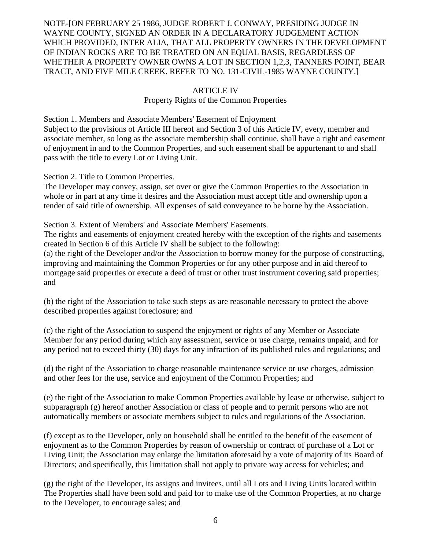NOTE-[ON FEBRUARY 25 1986, JUDGE ROBERT J. CONWAY, PRESIDING JUDGE IN WAYNE COUNTY, SIGNED AN ORDER IN A DECLARATORY JUDGEMENT ACTION WHICH PROVIDED, INTER ALIA, THAT ALL PROPERTY OWNERS IN THE DEVELOPMENT OF INDIAN ROCKS ARE TO BE TREATED ON AN EQUAL BASIS, REGARDLESS OF WHETHER A PROPERTY OWNER OWNS A LOT IN SECTION 1,2,3, TANNERS POINT, BEAR TRACT, AND FIVE MILE CREEK. REFER TO NO. 131-CIVIL-1985 WAYNE COUNTY.]

#### ARTICLE IV

#### Property Rights of the Common Properties

Section 1. Members and Associate Members' Easement of Enjoyment Subject to the provisions of Article III hereof and Section 3 of this Article IV, every, member and associate member, so long as the associate membership shall continue, shall have a right and easement of enjoyment in and to the Common Properties, and such easement shall be appurtenant to and shall pass with the title to every Lot or Living Unit.

Section 2. Title to Common Properties.

The Developer may convey, assign, set over or give the Common Properties to the Association in whole or in part at any time it desires and the Association must accept title and ownership upon a tender of said title of ownership. All expenses of said conveyance to be borne by the Association.

Section 3. Extent of Members' and Associate Members' Easements.

The rights and easements of enjoyment created hereby with the exception of the rights and easements created in Section 6 of this Article IV shall be subject to the following:

(a) the right of the Developer and/or the Association to borrow money for the purpose of constructing, improving and maintaining the Common Properties or for any other purpose and in aid thereof to mortgage said properties or execute a deed of trust or other trust instrument covering said properties; and

(b) the right of the Association to take such steps as are reasonable necessary to protect the above described properties against foreclosure; and

(c) the right of the Association to suspend the enjoyment or rights of any Member or Associate Member for any period during which any assessment, service or use charge, remains unpaid, and for any period not to exceed thirty (30) days for any infraction of its published rules and regulations; and

(d) the right of the Association to charge reasonable maintenance service or use charges, admission and other fees for the use, service and enjoyment of the Common Properties; and

(e) the right of the Association to make Common Properties available by lease or otherwise, subject to subparagraph (g) hereof another Association or class of people and to permit persons who are not automatically members or associate members subject to rules and regulations of the Association.

(f) except as to the Developer, only on household shall be entitled to the benefit of the easement of enjoyment as to the Common Properties by reason of ownership or contract of purchase of a Lot or Living Unit; the Association may enlarge the limitation aforesaid by a vote of majority of its Board of Directors; and specifically, this limitation shall not apply to private way access for vehicles; and

(g) the right of the Developer, its assigns and invitees, until all Lots and Living Units located within The Properties shall have been sold and paid for to make use of the Common Properties, at no charge to the Developer, to encourage sales; and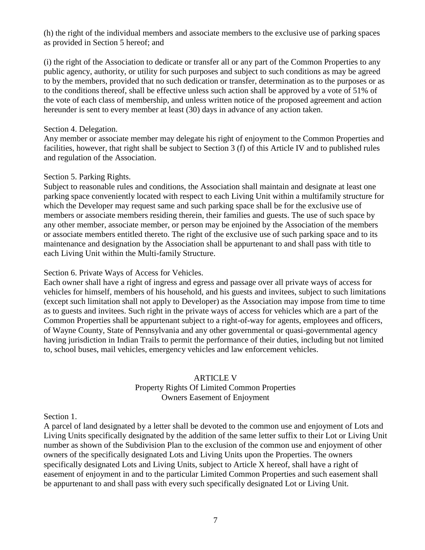(h) the right of the individual members and associate members to the exclusive use of parking spaces as provided in Section 5 hereof; and

(i) the right of the Association to dedicate or transfer all or any part of the Common Properties to any public agency, authority, or utility for such purposes and subject to such conditions as may be agreed to by the members, provided that no such dedication or transfer, determination as to the purposes or as to the conditions thereof, shall be effective unless such action shall be approved by a vote of 51% of the vote of each class of membership, and unless written notice of the proposed agreement and action hereunder is sent to every member at least (30) days in advance of any action taken.

#### Section 4. Delegation.

Any member or associate member may delegate his right of enjoyment to the Common Properties and facilities, however, that right shall be subject to Section 3 (f) of this Article IV and to published rules and regulation of the Association.

#### Section 5. Parking Rights.

Subject to reasonable rules and conditions, the Association shall maintain and designate at least one parking space conveniently located with respect to each Living Unit within a multifamily structure for which the Developer may request same and such parking space shall be for the exclusive use of members or associate members residing therein, their families and guests. The use of such space by any other member, associate member, or person may be enjoined by the Association of the members or associate members entitled thereto. The right of the exclusive use of such parking space and to its maintenance and designation by the Association shall be appurtenant to and shall pass with title to each Living Unit within the Multi-family Structure.

#### Section 6. Private Ways of Access for Vehicles.

Each owner shall have a right of ingress and egress and passage over all private ways of access for vehicles for himself, members of his household, and his guests and invitees, subject to such limitations (except such limitation shall not apply to Developer) as the Association may impose from time to time as to guests and invitees. Such right in the private ways of access for vehicles which are a part of the Common Properties shall be appurtenant subject to a right-of-way for agents, employees and officers, of Wayne County, State of Pennsylvania and any other governmental or quasi-governmental agency having jurisdiction in Indian Trails to permit the performance of their duties, including but not limited to, school buses, mail vehicles, emergency vehicles and law enforcement vehicles.

# ARTICLE V

### Property Rights Of Limited Common Properties Owners Easement of Enjoyment

#### Section 1.

A parcel of land designated by a letter shall be devoted to the common use and enjoyment of Lots and Living Units specifically designated by the addition of the same letter suffix to their Lot or Living Unit number as shown of the Subdivision Plan to the exclusion of the common use and enjoyment of other owners of the specifically designated Lots and Living Units upon the Properties. The owners specifically designated Lots and Living Units, subject to Article X hereof, shall have a right of easement of enjoyment in and to the particular Limited Common Properties and such easement shall be appurtenant to and shall pass with every such specifically designated Lot or Living Unit.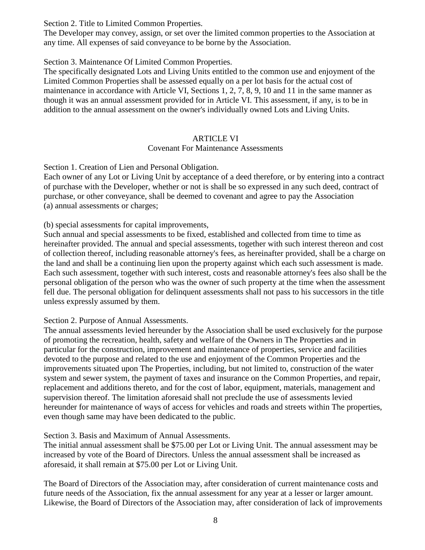Section 2. Title to Limited Common Properties.

The Developer may convey, assign, or set over the limited common properties to the Association at any time. All expenses of said conveyance to be borne by the Association.

Section 3. Maintenance Of Limited Common Properties.

The specifically designated Lots and Living Units entitled to the common use and enjoyment of the Limited Common Properties shall be assessed equally on a per lot basis for the actual cost of maintenance in accordance with Article VI, Sections 1, 2, 7, 8, 9, 10 and 11 in the same manner as though it was an annual assessment provided for in Article VI. This assessment, if any, is to be in addition to the annual assessment on the owner's individually owned Lots and Living Units.

# ARTICLE VI

# Covenant For Maintenance Assessments

Section 1. Creation of Lien and Personal Obligation.

Each owner of any Lot or Living Unit by acceptance of a deed therefore, or by entering into a contract of purchase with the Developer, whether or not is shall be so expressed in any such deed, contract of purchase, or other conveyance, shall be deemed to covenant and agree to pay the Association (a) annual assessments or charges;

(b) special assessments for capital improvements,

Such annual and special assessments to be fixed, established and collected from time to time as hereinafter provided. The annual and special assessments, together with such interest thereon and cost of collection thereof, including reasonable attorney's fees, as hereinafter provided, shall be a charge on the land and shall be a continuing lien upon the property against which each such assessment is made. Each such assessment, together with such interest, costs and reasonable attorney's fees also shall be the personal obligation of the person who was the owner of such property at the time when the assessment fell due. The personal obligation for delinquent assessments shall not pass to his successors in the title unless expressly assumed by them.

# Section 2. Purpose of Annual Assessments.

The annual assessments levied hereunder by the Association shall be used exclusively for the purpose of promoting the recreation, health, safety and welfare of the Owners in The Properties and in particular for the construction, improvement and maintenance of properties, service and facilities devoted to the purpose and related to the use and enjoyment of the Common Properties and the improvements situated upon The Properties, including, but not limited to, construction of the water system and sewer system, the payment of taxes and insurance on the Common Properties, and repair, replacement and additions thereto, and for the cost of labor, equipment, materials, management and supervision thereof. The limitation aforesaid shall not preclude the use of assessments levied hereunder for maintenance of ways of access for vehicles and roads and streets within The properties, even though same may have been dedicated to the public.

Section 3. Basis and Maximum of Annual Assessments.

The initial annual assessment shall be \$75.00 per Lot or Living Unit. The annual assessment may be increased by vote of the Board of Directors. Unless the annual assessment shall be increased as aforesaid, it shall remain at \$75.00 per Lot or Living Unit.

The Board of Directors of the Association may, after consideration of current maintenance costs and future needs of the Association, fix the annual assessment for any year at a lesser or larger amount. Likewise, the Board of Directors of the Association may, after consideration of lack of improvements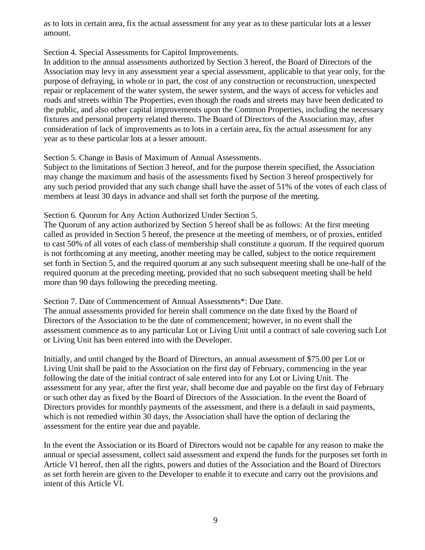as to lots in certain area, fix the actual assessment for any year as to these particular lots at a lesser amount.

### Section 4. Special Assessments for Capitol Improvements.

In addition to the annual assessments authorized by Section 3 hereof, the Board of Directors of the Association may levy in any assessment year a special assessment, applicable to that year only, for the purpose of defraying, in whole or in part, the cost of any construction or reconstruction, unexpected repair or replacement of the water system, the sewer system, and the ways of access for vehicles and roads and streets within The Properties, even though the roads and streets may have been dedicated to the public, and also other capital improvements upon the Common Properties, including the necessary fixtures and personal property related thereto. The Board of Directors of the Association may, after consideration of lack of improvements as to lots in a certain area, fix the actual assessment for any year as to these particular lots at a lesser amount.

#### Section 5. Change in Basis of Maximum of Annual Assessments.

Subject to the limitations of Section 3 hereof, and for the purpose therein specified, the Association may change the maximum and basis of the assessments fixed by Section 3 hereof prospectively for any such period provided that any such change shall have the asset of 51% of the votes of each class of members at least 30 days in advance and shall set forth the purpose of the meeting.

### Section 6. Quorum for Any Action Authorized Under Section 5.

The Quorum of any action authorized by Section 5 hereof shall be as follows: At the first meeting called as provided in Section 5 hereof, the presence at the meeting of members, or of proxies, entitled to cast 50% of all votes of each class of membership shall constitute a quorum. If the required quorum is not forthcoming at any meeting, another meeting may be called, subject to the notice requirement set forth in Section 5, and the required quorum at any such subsequent meeting shall be one-half of the required quorum at the preceding meeting, provided that no such subsequent meeting shall be held more than 90 days following the preceding meeting.

### Section 7. Date of Commencement of Annual Assessments\*: Due Date.

The annual assessments provided for herein shall commence on the date fixed by the Board of Directors of the Association to be the date of commencement; however, in no event shall the assessment commence as to any particular Lot or Living Unit until a contract of sale covering such Lot or Living Unit has been entered into with the Developer.

Initially, and until changed by the Board of Directors, an annual assessment of \$75.00 per Lot or Living Unit shall be paid to the Association on the first day of February, commencing in the year following the date of the initial contract of sale entered into for any Lot or Living Unit. The assessment for any year, after the first year, shall become due and payable on the first day of February or such other day as fixed by the Board of Directors of the Association. In the event the Board of Directors provides for monthly payments of the assessment, and there is a default in said payments, which is not remedied within 30 days, the Association shall have the option of declaring the assessment for the entire year due and payable.

In the event the Association or its Board of Directors would not be capable for any reason to make the annual or special assessment, collect said assessment and expend the funds for the purposes set forth in Article VI hereof, then all the rights, powers and duties of the Association and the Board of Directors as set forth herein are given to the Developer to enable it to execute and carry out the provisions and intent of this Article VI.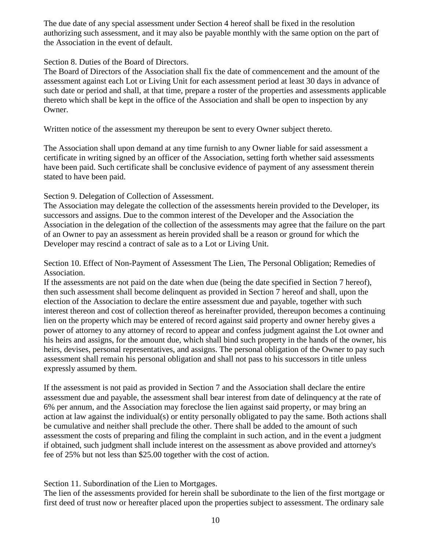The due date of any special assessment under Section 4 hereof shall be fixed in the resolution authorizing such assessment, and it may also be payable monthly with the same option on the part of the Association in the event of default.

Section 8. Duties of the Board of Directors.

The Board of Directors of the Association shall fix the date of commencement and the amount of the assessment against each Lot or Living Unit for each assessment period at least 30 days in advance of such date or period and shall, at that time, prepare a roster of the properties and assessments applicable thereto which shall be kept in the office of the Association and shall be open to inspection by any Owner.

Written notice of the assessment my thereupon be sent to every Owner subject thereto.

The Association shall upon demand at any time furnish to any Owner liable for said assessment a certificate in writing signed by an officer of the Association, setting forth whether said assessments have been paid. Such certificate shall be conclusive evidence of payment of any assessment therein stated to have been paid.

Section 9. Delegation of Collection of Assessment.

The Association may delegate the collection of the assessments herein provided to the Developer, its successors and assigns. Due to the common interest of the Developer and the Association the Association in the delegation of the collection of the assessments may agree that the failure on the part of an Owner to pay an assessment as herein provided shall be a reason or ground for which the Developer may rescind a contract of sale as to a Lot or Living Unit.

Section 10. Effect of Non-Payment of Assessment The Lien, The Personal Obligation; Remedies of Association.

If the assessments are not paid on the date when due (being the date specified in Section 7 hereof), then such assessment shall become delinquent as provided in Section 7 hereof and shall, upon the election of the Association to declare the entire assessment due and payable, together with such interest thereon and cost of collection thereof as hereinafter provided, thereupon becomes a continuing lien on the property which may be entered of record against said property and owner hereby gives a power of attorney to any attorney of record to appear and confess judgment against the Lot owner and his heirs and assigns, for the amount due, which shall bind such property in the hands of the owner, his heirs, devises, personal representatives, and assigns. The personal obligation of the Owner to pay such assessment shall remain his personal obligation and shall not pass to his successors in title unless expressly assumed by them.

If the assessment is not paid as provided in Section 7 and the Association shall declare the entire assessment due and payable, the assessment shall bear interest from date of delinquency at the rate of 6% per annum, and the Association may foreclose the lien against said property, or may bring an action at law against the individual(s) or entity personally obligated to pay the same. Both actions shall be cumulative and neither shall preclude the other. There shall be added to the amount of such assessment the costs of preparing and filing the complaint in such action, and in the event a judgment if obtained, such judgment shall include interest on the assessment as above provided and attorney's fee of 25% but not less than \$25.00 together with the cost of action.

# Section 11. Subordination of the Lien to Mortgages.

The lien of the assessments provided for herein shall be subordinate to the lien of the first mortgage or first deed of trust now or hereafter placed upon the properties subject to assessment. The ordinary sale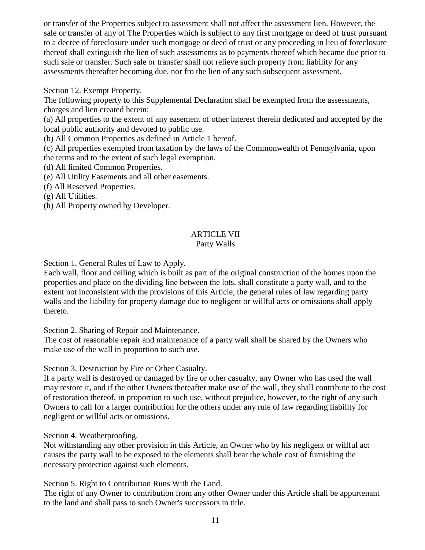or transfer of the Properties subject to assessment shall not affect the assessment lien. However, the sale or transfer of any of The Properties which is subject to any first mortgage or deed of trust pursuant to a decree of foreclosure under such mortgage or deed of trust or any proceeding in lieu of foreclosure thereof shall extinguish the lien of such assessments as to payments thereof which became due prior to such sale or transfer. Such sale or transfer shall not relieve such property from liability for any assessments thereafter becoming due, nor fro the lien of any such subsequent assessment.

Section 12. Exempt Property.

The following property to this Supplemental Declaration shall be exempted from the assessments, charges and lien created herein:

(a) All properties to the extent of any easement of other interest therein dedicated and accepted by the local public authority and devoted to public use.

(b) All Common Properties as defined in Article 1 hereof.

(c) All properties exempted from taxation by the laws of the Commonwealth of Pennsylvania, upon the terms and to the extent of such legal exemption.

(d) All limited Common Properties.

(e) All Utility Easements and all other easements.

(f) All Reserved Properties.

(g) All Utilities.

(h) All Property owned by Developer.

# ARTICLE VII

# Party Walls

Section 1. General Rules of Law to Apply.

Each wall, floor and ceiling which is built as part of the original construction of the homes upon the properties and place on the dividing line between the lots, shall constitute a party wall, and to the extent not inconsistent with the provisions of this Article, the general rules of law regarding party walls and the liability for property damage due to negligent or willful acts or omissions shall apply thereto.

Section 2. Sharing of Repair and Maintenance.

The cost of reasonable repair and maintenance of a party wall shall be shared by the Owners who make use of the wall in proportion to such use.

Section 3. Destruction by Fire or Other Casualty.

If a party wall is destroyed or damaged by fire or other casualty, any Owner who has used the wall may restore it, and if the other Owners thereafter make use of the wall, they shall contribute to the cost of restoration thereof, in proportion to such use, without prejudice, however, to the right of any such Owners to call for a larger contribution for the others under any rule of law regarding liability for negligent or willful acts or omissions.

Section 4. Weatherproofing.

Not withstanding any other provision in this Article, an Owner who by his negligent or willful act causes the party wall to be exposed to the elements shall bear the whole cost of furnishing the necessary protection against such elements.

Section 5. Right to Contribution Runs With the Land.

The right of any Owner to contribution from any other Owner under this Article shall be appurtenant to the land and shall pass to such Owner's successors in title.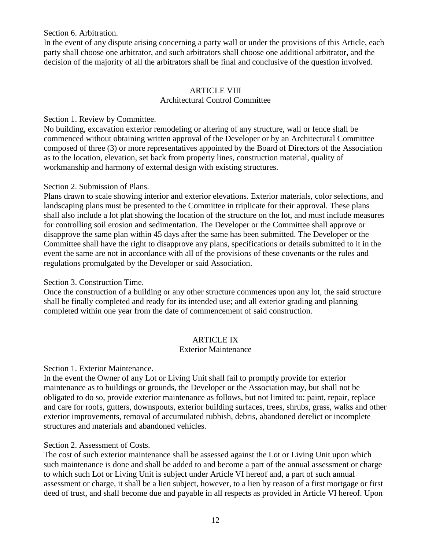Section 6. Arbitration.

In the event of any dispute arising concerning a party wall or under the provisions of this Article, each party shall choose one arbitrator, and such arbitrators shall choose one additional arbitrator, and the decision of the majority of all the arbitrators shall be final and conclusive of the question involved.

### ARTICLE VIII Architectural Control Committee

### Section 1. Review by Committee.

No building, excavation exterior remodeling or altering of any structure, wall or fence shall be commenced without obtaining written approval of the Developer or by an Architectural Committee composed of three (3) or more representatives appointed by the Board of Directors of the Association as to the location, elevation, set back from property lines, construction material, quality of workmanship and harmony of external design with existing structures.

### Section 2. Submission of Plans.

Plans drawn to scale showing interior and exterior elevations. Exterior materials, color selections, and landscaping plans must be presented to the Committee in triplicate for their approval. These plans shall also include a lot plat showing the location of the structure on the lot, and must include measures for controlling soil erosion and sedimentation. The Developer or the Committee shall approve or disapprove the same plan within 45 days after the same has been submitted. The Developer or the Committee shall have the right to disapprove any plans, specifications or details submitted to it in the event the same are not in accordance with all of the provisions of these covenants or the rules and regulations promulgated by the Developer or said Association.

# Section 3. Construction Time.

Once the construction of a building or any other structure commences upon any lot, the said structure shall be finally completed and ready for its intended use; and all exterior grading and planning completed within one year from the date of commencement of said construction.

# ARTICLE IX

#### Exterior Maintenance

#### Section 1. Exterior Maintenance.

In the event the Owner of any Lot or Living Unit shall fail to promptly provide for exterior maintenance as to buildings or grounds, the Developer or the Association may, but shall not be obligated to do so, provide exterior maintenance as follows, but not limited to: paint, repair, replace and care for roofs, gutters, downspouts, exterior building surfaces, trees, shrubs, grass, walks and other exterior improvements, removal of accumulated rubbish, debris, abandoned derelict or incomplete structures and materials and abandoned vehicles.

#### Section 2. Assessment of Costs.

The cost of such exterior maintenance shall be assessed against the Lot or Living Unit upon which such maintenance is done and shall be added to and become a part of the annual assessment or charge to which such Lot or Living Unit is subject under Article VI hereof and, a part of such annual assessment or charge, it shall be a lien subject, however, to a lien by reason of a first mortgage or first deed of trust, and shall become due and payable in all respects as provided in Article VI hereof. Upon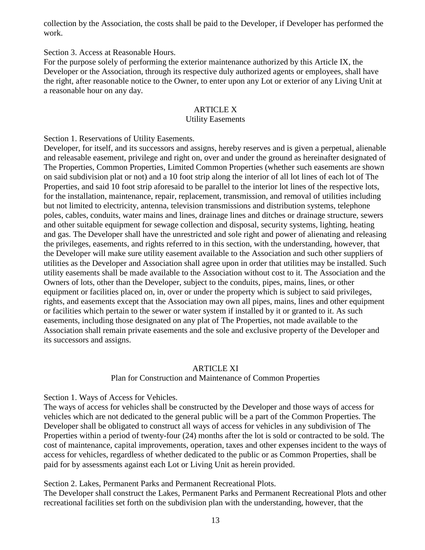collection by the Association, the costs shall be paid to the Developer, if Developer has performed the work.

Section 3. Access at Reasonable Hours.

For the purpose solely of performing the exterior maintenance authorized by this Article IX, the Developer or the Association, through its respective duly authorized agents or employees, shall have the right, after reasonable notice to the Owner, to enter upon any Lot or exterior of any Living Unit at a reasonable hour on any day.

#### ARTICLE X

#### Utility Easements

Section 1. Reservations of Utility Easements.

Developer, for itself, and its successors and assigns, hereby reserves and is given a perpetual, alienable and releasable easement, privilege and right on, over and under the ground as hereinafter designated of The Properties, Common Properties, Limited Common Properties (whether such easements are shown on said subdivision plat or not) and a 10 foot strip along the interior of all lot lines of each lot of The Properties, and said 10 foot strip aforesaid to be parallel to the interior lot lines of the respective lots, for the installation, maintenance, repair, replacement, transmission, and removal of utilities including but not limited to electricity, antenna, television transmissions and distribution systems, telephone poles, cables, conduits, water mains and lines, drainage lines and ditches or drainage structure, sewers and other suitable equipment for sewage collection and disposal, security systems, lighting, heating and gas. The Developer shall have the unrestricted and sole right and power of alienating and releasing the privileges, easements, and rights referred to in this section, with the understanding, however, that the Developer will make sure utility easement available to the Association and such other suppliers of utilities as the Developer and Association shall agree upon in order that utilities may be installed. Such utility easements shall be made available to the Association without cost to it. The Association and the Owners of lots, other than the Developer, subject to the conduits, pipes, mains, lines, or other equipment or facilities placed on, in, over or under the property which is subject to said privileges, rights, and easements except that the Association may own all pipes, mains, lines and other equipment or facilities which pertain to the sewer or water system if installed by it or granted to it. As such easements, including those designated on any plat of The Properties, not made available to the Association shall remain private easements and the sole and exclusive property of the Developer and its successors and assigns.

#### ARTICLE XI

#### Plan for Construction and Maintenance of Common Properties

Section 1. Ways of Access for Vehicles.

The ways of access for vehicles shall be constructed by the Developer and those ways of access for vehicles which are not dedicated to the general public will be a part of the Common Properties. The Developer shall be obligated to construct all ways of access for vehicles in any subdivision of The Properties within a period of twenty-four (24) months after the lot is sold or contracted to be sold. The cost of maintenance, capital improvements, operation, taxes and other expenses incident to the ways of access for vehicles, regardless of whether dedicated to the public or as Common Properties, shall be paid for by assessments against each Lot or Living Unit as herein provided.

Section 2. Lakes, Permanent Parks and Permanent Recreational Plots.

The Developer shall construct the Lakes, Permanent Parks and Permanent Recreational Plots and other recreational facilities set forth on the subdivision plan with the understanding, however, that the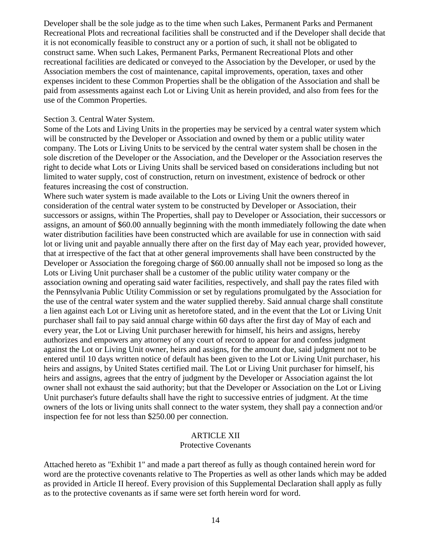Developer shall be the sole judge as to the time when such Lakes, Permanent Parks and Permanent Recreational Plots and recreational facilities shall be constructed and if the Developer shall decide that it is not economically feasible to construct any or a portion of such, it shall not be obligated to construct same. When such Lakes, Permanent Parks, Permanent Recreational Plots and other recreational facilities are dedicated or conveyed to the Association by the Developer, or used by the Association members the cost of maintenance, capital improvements, operation, taxes and other expenses incident to these Common Properties shall be the obligation of the Association and shall be paid from assessments against each Lot or Living Unit as herein provided, and also from fees for the use of the Common Properties.

#### Section 3. Central Water System.

Some of the Lots and Living Units in the properties may be serviced by a central water system which will be constructed by the Developer or Association and owned by them or a public utility water company. The Lots or Living Units to be serviced by the central water system shall be chosen in the sole discretion of the Developer or the Association, and the Developer or the Association reserves the right to decide what Lots or Living Units shall be serviced based on considerations including but not limited to water supply, cost of construction, return on investment, existence of bedrock or other features increasing the cost of construction.

Where such water system is made available to the Lots or Living Unit the owners thereof in consideration of the central water system to be constructed by Developer or Association, their successors or assigns, within The Properties, shall pay to Developer or Association, their successors or assigns, an amount of \$60.00 annually beginning with the month immediately following the date when water distribution facilities have been constructed which are available for use in connection with said lot or living unit and payable annually there after on the first day of May each year, provided however, that at irrespective of the fact that at other general improvements shall have been constructed by the Developer or Association the foregoing charge of \$60.00 annually shall not be imposed so long as the Lots or Living Unit purchaser shall be a customer of the public utility water company or the association owning and operating said water facilities, respectively, and shall pay the rates filed with the Pennsylvania Public Utility Commission or set by regulations promulgated by the Association for the use of the central water system and the water supplied thereby. Said annual charge shall constitute a lien against each Lot or Living unit as heretofore stated, and in the event that the Lot or Living Unit purchaser shall fail to pay said annual charge within 60 days after the first day of May of each and every year, the Lot or Living Unit purchaser herewith for himself, his heirs and assigns, hereby authorizes and empowers any attorney of any court of record to appear for and confess judgment against the Lot or Living Unit owner, heirs and assigns, for the amount due, said judgment not to be entered until 10 days written notice of default has been given to the Lot or Living Unit purchaser, his heirs and assigns, by United States certified mail. The Lot or Living Unit purchaser for himself, his heirs and assigns, agrees that the entry of judgment by the Developer or Association against the lot owner shall not exhaust the said authority; but that the Developer or Association on the Lot or Living Unit purchaser's future defaults shall have the right to successive entries of judgment. At the time owners of the lots or living units shall connect to the water system, they shall pay a connection and/or inspection fee for not less than \$250.00 per connection.

#### ARTICLE XII

#### Protective Covenants

Attached hereto as "Exhibit 1" and made a part thereof as fully as though contained herein word for word are the protective covenants relative to The Properties as well as other lands which may be added as provided in Article II hereof. Every provision of this Supplemental Declaration shall apply as fully as to the protective covenants as if same were set forth herein word for word.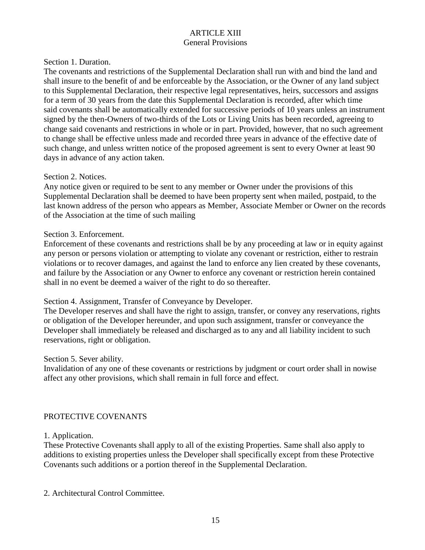### ARTICLE XIII General Provisions

#### Section 1. Duration.

The covenants and restrictions of the Supplemental Declaration shall run with and bind the land and shall insure to the benefit of and be enforceable by the Association, or the Owner of any land subject to this Supplemental Declaration, their respective legal representatives, heirs, successors and assigns for a term of 30 years from the date this Supplemental Declaration is recorded, after which time said covenants shall be automatically extended for successive periods of 10 years unless an instrument signed by the then-Owners of two-thirds of the Lots or Living Units has been recorded, agreeing to change said covenants and restrictions in whole or in part. Provided, however, that no such agreement to change shall be effective unless made and recorded three years in advance of the effective date of such change, and unless written notice of the proposed agreement is sent to every Owner at least 90 days in advance of any action taken.

#### Section 2. Notices.

Any notice given or required to be sent to any member or Owner under the provisions of this Supplemental Declaration shall be deemed to have been property sent when mailed, postpaid, to the last known address of the person who appears as Member, Associate Member or Owner on the records of the Association at the time of such mailing

#### Section 3. Enforcement.

Enforcement of these covenants and restrictions shall be by any proceeding at law or in equity against any person or persons violation or attempting to violate any covenant or restriction, either to restrain violations or to recover damages, and against the land to enforce any lien created by these covenants, and failure by the Association or any Owner to enforce any covenant or restriction herein contained shall in no event be deemed a waiver of the right to do so thereafter.

#### Section 4. Assignment, Transfer of Conveyance by Developer.

The Developer reserves and shall have the right to assign, transfer, or convey any reservations, rights or obligation of the Developer hereunder, and upon such assignment, transfer or conveyance the Developer shall immediately be released and discharged as to any and all liability incident to such reservations, right or obligation.

#### Section 5. Sever ability.

Invalidation of any one of these covenants or restrictions by judgment or court order shall in nowise affect any other provisions, which shall remain in full force and effect.

#### PROTECTIVE COVENANTS

#### 1. Application.

These Protective Covenants shall apply to all of the existing Properties. Same shall also apply to additions to existing properties unless the Developer shall specifically except from these Protective Covenants such additions or a portion thereof in the Supplemental Declaration.

#### 2. Architectural Control Committee.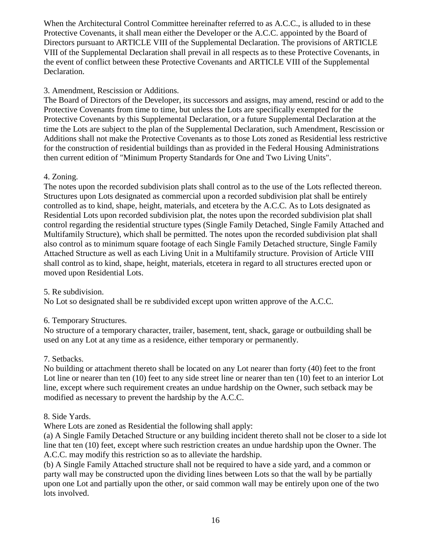When the Architectural Control Committee hereinafter referred to as A.C.C., is alluded to in these Protective Covenants, it shall mean either the Developer or the A.C.C. appointed by the Board of Directors pursuant to ARTICLE VIII of the Supplemental Declaration. The provisions of ARTICLE VIII of the Supplemental Declaration shall prevail in all respects as to these Protective Covenants, in the event of conflict between these Protective Covenants and ARTICLE VIII of the Supplemental Declaration.

# 3. Amendment, Rescission or Additions.

The Board of Directors of the Developer, its successors and assigns, may amend, rescind or add to the Protective Covenants from time to time, but unless the Lots are specifically exempted for the Protective Covenants by this Supplemental Declaration, or a future Supplemental Declaration at the time the Lots are subject to the plan of the Supplemental Declaration, such Amendment, Rescission or Additions shall not make the Protective Covenants as to those Lots zoned as Residential less restrictive for the construction of residential buildings than as provided in the Federal Housing Administrations then current edition of "Minimum Property Standards for One and Two Living Units".

# 4. Zoning.

The notes upon the recorded subdivision plats shall control as to the use of the Lots reflected thereon. Structures upon Lots designated as commercial upon a recorded subdivision plat shall be entirely controlled as to kind, shape, height, materials, and etcetera by the A.C.C. As to Lots designated as Residential Lots upon recorded subdivision plat, the notes upon the recorded subdivision plat shall control regarding the residential structure types (Single Family Detached, Single Family Attached and Multifamily Structure), which shall be permitted. The notes upon the recorded subdivision plat shall also control as to minimum square footage of each Single Family Detached structure, Single Family Attached Structure as well as each Living Unit in a Multifamily structure. Provision of Article VIII shall control as to kind, shape, height, materials, etcetera in regard to all structures erected upon or moved upon Residential Lots.

# 5. Re subdivision.

No Lot so designated shall be re subdivided except upon written approve of the A.C.C.

# 6. Temporary Structures.

No structure of a temporary character, trailer, basement, tent, shack, garage or outbuilding shall be used on any Lot at any time as a residence, either temporary or permanently.

# 7. Setbacks.

No building or attachment thereto shall be located on any Lot nearer than forty (40) feet to the front Lot line or nearer than ten (10) feet to any side street line or nearer than ten (10) feet to an interior Lot line, except where such requirement creates an undue hardship on the Owner, such setback may be modified as necessary to prevent the hardship by the A.C.C.

# 8. Side Yards.

Where Lots are zoned as Residential the following shall apply:

(a) A Single Family Detached Structure or any building incident thereto shall not be closer to a side lot line that ten (10) feet, except where such restriction creates an undue hardship upon the Owner. The A.C.C. may modify this restriction so as to alleviate the hardship.

(b) A Single Family Attached structure shall not be required to have a side yard, and a common or party wall may be constructed upon the dividing lines between Lots so that the wall by be partially upon one Lot and partially upon the other, or said common wall may be entirely upon one of the two lots involved.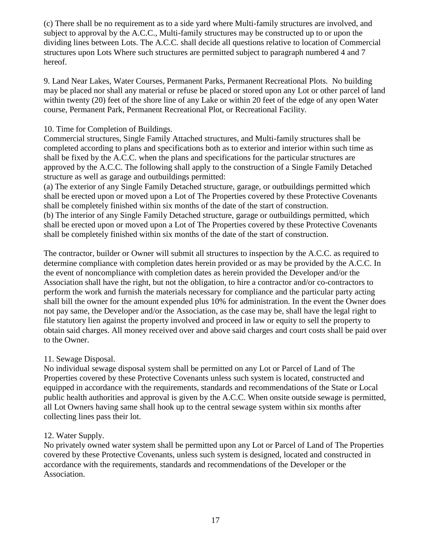(c) There shall be no requirement as to a side yard where Multi-family structures are involved, and subject to approval by the A.C.C., Multi-family structures may be constructed up to or upon the dividing lines between Lots. The A.C.C. shall decide all questions relative to location of Commercial structures upon Lots Where such structures are permitted subject to paragraph numbered 4 and 7 hereof.

9. Land Near Lakes, Water Courses, Permanent Parks, Permanent Recreational Plots. No building may be placed nor shall any material or refuse be placed or stored upon any Lot or other parcel of land within twenty (20) feet of the shore line of any Lake or within 20 feet of the edge of any open Water course, Permanent Park, Permanent Recreational Plot, or Recreational Facility.

### 10. Time for Completion of Buildings.

Commercial structures, Single Family Attached structures, and Multi-family structures shall be completed according to plans and specifications both as to exterior and interior within such time as shall be fixed by the A.C.C. when the plans and specifications for the particular structures are approved by the A.C.C. The following shall apply to the construction of a Single Family Detached structure as well as garage and outbuildings permitted:

(a) The exterior of any Single Family Detached structure, garage, or outbuildings permitted which shall be erected upon or moved upon a Lot of The Properties covered by these Protective Covenants shall be completely finished within six months of the date of the start of construction. (b) The interior of any Single Family Detached structure, garage or outbuildings permitted, which shall be erected upon or moved upon a Lot of The Properties covered by these Protective Covenants shall be completely finished within six months of the date of the start of construction.

The contractor, builder or Owner will submit all structures to inspection by the A.C.C. as required to determine compliance with completion dates herein provided or as may be provided by the A.C.C. In the event of noncompliance with completion dates as herein provided the Developer and/or the Association shall have the right, but not the obligation, to hire a contractor and/or co-contractors to perform the work and furnish the materials necessary for compliance and the particular party acting shall bill the owner for the amount expended plus 10% for administration. In the event the Owner does not pay same, the Developer and/or the Association, as the case may be, shall have the legal right to file statutory lien against the property involved and proceed in law or equity to sell the property to obtain said charges. All money received over and above said charges and court costs shall be paid over to the Owner.

#### 11. Sewage Disposal.

No individual sewage disposal system shall be permitted on any Lot or Parcel of Land of The Properties covered by these Protective Covenants unless such system is located, constructed and equipped in accordance with the requirements, standards and recommendations of the State or Local public health authorities and approval is given by the A.C.C. When onsite outside sewage is permitted, all Lot Owners having same shall hook up to the central sewage system within six months after collecting lines pass their lot.

#### 12. Water Supply.

No privately owned water system shall be permitted upon any Lot or Parcel of Land of The Properties covered by these Protective Covenants, unless such system is designed, located and constructed in accordance with the requirements, standards and recommendations of the Developer or the Association.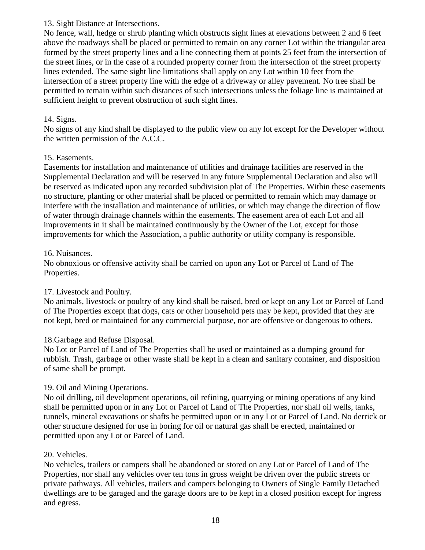# 13. Sight Distance at Intersections.

No fence, wall, hedge or shrub planting which obstructs sight lines at elevations between 2 and 6 feet above the roadways shall be placed or permitted to remain on any corner Lot within the triangular area formed by the street property lines and a line connecting them at points 25 feet from the intersection of the street lines, or in the case of a rounded property corner from the intersection of the street property lines extended. The same sight line limitations shall apply on any Lot within 10 feet from the intersection of a street property line with the edge of a driveway or alley pavement. No tree shall be permitted to remain within such distances of such intersections unless the foliage line is maintained at sufficient height to prevent obstruction of such sight lines.

# 14. Signs.

No signs of any kind shall be displayed to the public view on any lot except for the Developer without the written permission of the A.C.C.

# 15. Easements.

Easements for installation and maintenance of utilities and drainage facilities are reserved in the Supplemental Declaration and will be reserved in any future Supplemental Declaration and also will be reserved as indicated upon any recorded subdivision plat of The Properties. Within these easements no structure, planting or other material shall be placed or permitted to remain which may damage or interfere with the installation and maintenance of utilities, or which may change the direction of flow of water through drainage channels within the easements. The easement area of each Lot and all improvements in it shall be maintained continuously by the Owner of the Lot, except for those improvements for which the Association, a public authority or utility company is responsible.

# 16. Nuisances.

No obnoxious or offensive activity shall be carried on upon any Lot or Parcel of Land of The Properties.

# 17. Livestock and Poultry.

No animals, livestock or poultry of any kind shall be raised, bred or kept on any Lot or Parcel of Land of The Properties except that dogs, cats or other household pets may be kept, provided that they are not kept, bred or maintained for any commercial purpose, nor are offensive or dangerous to others.

# 18.Garbage and Refuse Disposal.

No Lot or Parcel of Land of The Properties shall be used or maintained as a dumping ground for rubbish. Trash, garbage or other waste shall be kept in a clean and sanitary container, and disposition of same shall be prompt.

# 19. Oil and Mining Operations.

No oil drilling, oil development operations, oil refining, quarrying or mining operations of any kind shall be permitted upon or in any Lot or Parcel of Land of The Properties, nor shall oil wells, tanks, tunnels, mineral excavations or shafts be permitted upon or in any Lot or Parcel of Land. No derrick or other structure designed for use in boring for oil or natural gas shall be erected, maintained or permitted upon any Lot or Parcel of Land.

# 20. Vehicles.

No vehicles, trailers or campers shall be abandoned or stored on any Lot or Parcel of Land of The Properties, nor shall any vehicles over ten tons in gross weight be driven over the public streets or private pathways. All vehicles, trailers and campers belonging to Owners of Single Family Detached dwellings are to be garaged and the garage doors are to be kept in a closed position except for ingress and egress.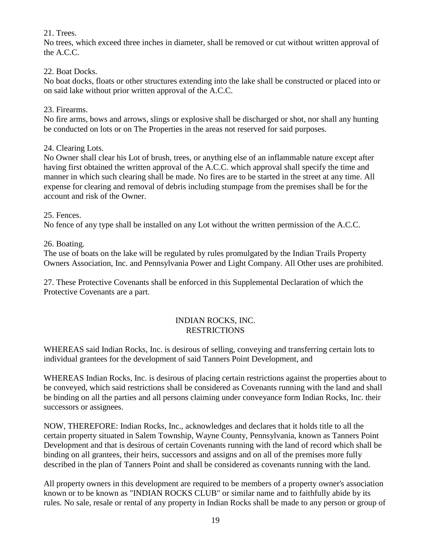# 21. Trees.

No trees, which exceed three inches in diameter, shall be removed or cut without written approval of the A.C.C.

# 22. Boat Docks.

No boat docks, floats or other structures extending into the lake shall be constructed or placed into or on said lake without prior written approval of the A.C.C.

# 23. Firearms.

No fire arms, bows and arrows, slings or explosive shall be discharged or shot, nor shall any hunting be conducted on lots or on The Properties in the areas not reserved for said purposes.

# 24. Clearing Lots.

No Owner shall clear his Lot of brush, trees, or anything else of an inflammable nature except after having first obtained the written approval of the A.C.C. which approval shall specify the time and manner in which such clearing shall be made. No fires are to be started in the street at any time. All expense for clearing and removal of debris including stumpage from the premises shall be for the account and risk of the Owner.

# 25. Fences.

No fence of any type shall be installed on any Lot without the written permission of the A.C.C.

26. Boating.

The use of boats on the lake will be regulated by rules promulgated by the Indian Trails Property Owners Association, Inc. and Pennsylvania Power and Light Company. All Other uses are prohibited.

27. These Protective Covenants shall be enforced in this Supplemental Declaration of which the Protective Covenants are a part.

# INDIAN ROCKS, INC. RESTRICTIONS

WHEREAS said Indian Rocks, Inc. is desirous of selling, conveying and transferring certain lots to individual grantees for the development of said Tanners Point Development, and

WHEREAS Indian Rocks, Inc. is desirous of placing certain restrictions against the properties about to be conveyed, which said restrictions shall be considered as Covenants running with the land and shall be binding on all the parties and all persons claiming under conveyance form Indian Rocks, Inc. their successors or assignees.

NOW, THEREFORE: Indian Rocks, Inc., acknowledges and declares that it holds title to all the certain property situated in Salem Township, Wayne County, Pennsylvania, known as Tanners Point Development and that is desirous of certain Covenants running with the land of record which shall be binding on all grantees, their heirs, successors and assigns and on all of the premises more fully described in the plan of Tanners Point and shall be considered as covenants running with the land.

All property owners in this development are required to be members of a property owner's association known or to be known as "INDIAN ROCKS CLUB" or similar name and to faithfully abide by its rules. No sale, resale or rental of any property in Indian Rocks shall be made to any person or group of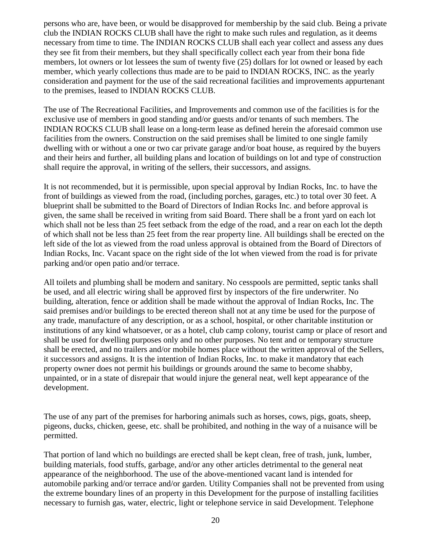persons who are, have been, or would be disapproved for membership by the said club. Being a private club the INDIAN ROCKS CLUB shall have the right to make such rules and regulation, as it deems necessary from time to time. The INDIAN ROCKS CLUB shall each year collect and assess any dues they see fit from their members, but they shall specifically collect each year from their bona fide members, lot owners or lot lessees the sum of twenty five (25) dollars for lot owned or leased by each member, which yearly collections thus made are to be paid to INDIAN ROCKS, INC. as the yearly consideration and payment for the use of the said recreational facilities and improvements appurtenant to the premises, leased to INDIAN ROCKS CLUB.

The use of The Recreational Facilities, and Improvements and common use of the facilities is for the exclusive use of members in good standing and/or guests and/or tenants of such members. The INDIAN ROCKS CLUB shall lease on a long-term lease as defined herein the aforesaid common use facilities from the owners. Construction on the said premises shall be limited to one single family dwelling with or without a one or two car private garage and/or boat house, as required by the buyers and their heirs and further, all building plans and location of buildings on lot and type of construction shall require the approval, in writing of the sellers, their successors, and assigns.

It is not recommended, but it is permissible, upon special approval by Indian Rocks, Inc. to have the front of buildings as viewed from the road, (including porches, garages, etc.) to total over 30 feet. A blueprint shall be submitted to the Board of Directors of Indian Rocks Inc. and before approval is given, the same shall be received in writing from said Board. There shall be a front yard on each lot which shall not be less than 25 feet setback from the edge of the road, and a rear on each lot the depth of which shall not be less than 25 feet from the rear property line. All buildings shall be erected on the left side of the lot as viewed from the road unless approval is obtained from the Board of Directors of Indian Rocks, Inc. Vacant space on the right side of the lot when viewed from the road is for private parking and/or open patio and/or terrace.

All toilets and plumbing shall be modern and sanitary. No cesspools are permitted, septic tanks shall be used, and all electric wiring shall be approved first by inspectors of the fire underwriter. No building, alteration, fence or addition shall be made without the approval of Indian Rocks, Inc. The said premises and/or buildings to be erected thereon shall not at any time be used for the purpose of any trade, manufacture of any description, or as a school, hospital, or other charitable institution or institutions of any kind whatsoever, or as a hotel, club camp colony, tourist camp or place of resort and shall be used for dwelling purposes only and no other purposes. No tent and or temporary structure shall be erected, and no trailers and/or mobile homes place without the written approval of the Sellers, it successors and assigns. It is the intention of Indian Rocks, Inc. to make it mandatory that each property owner does not permit his buildings or grounds around the same to become shabby, unpainted, or in a state of disrepair that would injure the general neat, well kept appearance of the development.

The use of any part of the premises for harboring animals such as horses, cows, pigs, goats, sheep, pigeons, ducks, chicken, geese, etc. shall be prohibited, and nothing in the way of a nuisance will be permitted.

That portion of land which no buildings are erected shall be kept clean, free of trash, junk, lumber, building materials, food stuffs, garbage, and/or any other articles detrimental to the general neat appearance of the neighborhood. The use of the above-mentioned vacant land is intended for automobile parking and/or terrace and/or garden. Utility Companies shall not be prevented from using the extreme boundary lines of an property in this Development for the purpose of installing facilities necessary to furnish gas, water, electric, light or telephone service in said Development. Telephone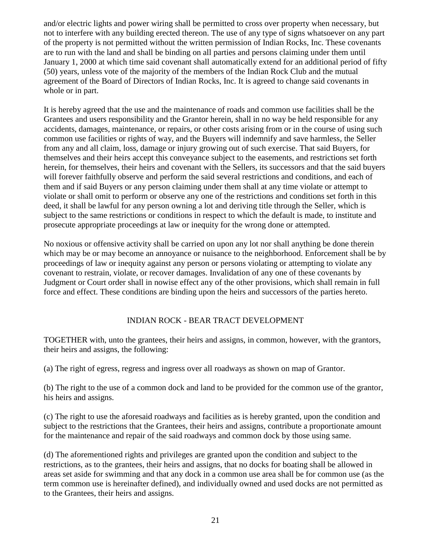and/or electric lights and power wiring shall be permitted to cross over property when necessary, but not to interfere with any building erected thereon. The use of any type of signs whatsoever on any part of the property is not permitted without the written permission of Indian Rocks, Inc. These covenants are to run with the land and shall be binding on all parties and persons claiming under them until January 1, 2000 at which time said covenant shall automatically extend for an additional period of fifty (50) years, unless vote of the majority of the members of the Indian Rock Club and the mutual agreement of the Board of Directors of Indian Rocks, Inc. It is agreed to change said covenants in whole or in part.

It is hereby agreed that the use and the maintenance of roads and common use facilities shall be the Grantees and users responsibility and the Grantor herein, shall in no way be held responsible for any accidents, damages, maintenance, or repairs, or other costs arising from or in the course of using such common use facilities or rights of way, and the Buyers will indemnify and save harmless, the Seller from any and all claim, loss, damage or injury growing out of such exercise. That said Buyers, for themselves and their heirs accept this conveyance subject to the easements, and restrictions set forth herein, for themselves, their heirs and covenant with the Sellers, its successors and that the said buyers will forever faithfully observe and perform the said several restrictions and conditions, and each of them and if said Buyers or any person claiming under them shall at any time violate or attempt to violate or shall omit to perform or observe any one of the restrictions and conditions set forth in this deed, it shall be lawful for any person owning a lot and deriving title through the Seller, which is subject to the same restrictions or conditions in respect to which the default is made, to institute and prosecute appropriate proceedings at law or inequity for the wrong done or attempted.

No noxious or offensive activity shall be carried on upon any lot nor shall anything be done therein which may be or may become an annoyance or nuisance to the neighborhood. Enforcement shall be by proceedings of law or inequity against any person or persons violating or attempting to violate any covenant to restrain, violate, or recover damages. Invalidation of any one of these covenants by Judgment or Court order shall in nowise effect any of the other provisions, which shall remain in full force and effect. These conditions are binding upon the heirs and successors of the parties hereto.

# INDIAN ROCK - BEAR TRACT DEVELOPMENT

TOGETHER with, unto the grantees, their heirs and assigns, in common, however, with the grantors, their heirs and assigns, the following:

(a) The right of egress, regress and ingress over all roadways as shown on map of Grantor.

(b) The right to the use of a common dock and land to be provided for the common use of the grantor, his heirs and assigns.

(c) The right to use the aforesaid roadways and facilities as is hereby granted, upon the condition and subject to the restrictions that the Grantees, their heirs and assigns, contribute a proportionate amount for the maintenance and repair of the said roadways and common dock by those using same.

(d) The aforementioned rights and privileges are granted upon the condition and subject to the restrictions, as to the grantees, their heirs and assigns, that no docks for boating shall be allowed in areas set aside for swimming and that any dock in a common use area shall be for common use (as the term common use is hereinafter defined), and individually owned and used docks are not permitted as to the Grantees, their heirs and assigns.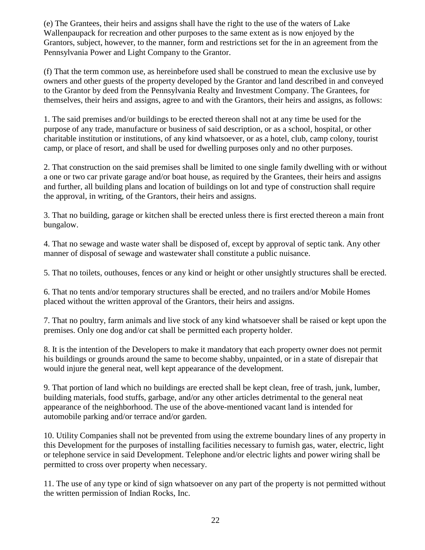(e) The Grantees, their heirs and assigns shall have the right to the use of the waters of Lake Wallenpaupack for recreation and other purposes to the same extent as is now enjoyed by the Grantors, subject, however, to the manner, form and restrictions set for the in an agreement from the Pennsylvania Power and Light Company to the Grantor.

(f) That the term common use, as hereinbefore used shall be construed to mean the exclusive use by owners and other guests of the property developed by the Grantor and land described in and conveyed to the Grantor by deed from the Pennsylvania Realty and Investment Company. The Grantees, for themselves, their heirs and assigns, agree to and with the Grantors, their heirs and assigns, as follows:

1. The said premises and/or buildings to be erected thereon shall not at any time be used for the purpose of any trade, manufacture or business of said description, or as a school, hospital, or other charitable institution or institutions, of any kind whatsoever, or as a hotel, club, camp colony, tourist camp, or place of resort, and shall be used for dwelling purposes only and no other purposes.

2. That construction on the said premises shall be limited to one single family dwelling with or without a one or two car private garage and/or boat house, as required by the Grantees, their heirs and assigns and further, all building plans and location of buildings on lot and type of construction shall require the approval, in writing, of the Grantors, their heirs and assigns.

3. That no building, garage or kitchen shall be erected unless there is first erected thereon a main front bungalow.

4. That no sewage and waste water shall be disposed of, except by approval of septic tank. Any other manner of disposal of sewage and wastewater shall constitute a public nuisance.

5. That no toilets, outhouses, fences or any kind or height or other unsightly structures shall be erected.

6. That no tents and/or temporary structures shall be erected, and no trailers and/or Mobile Homes placed without the written approval of the Grantors, their heirs and assigns.

7. That no poultry, farm animals and live stock of any kind whatsoever shall be raised or kept upon the premises. Only one dog and/or cat shall be permitted each property holder.

8. It is the intention of the Developers to make it mandatory that each property owner does not permit his buildings or grounds around the same to become shabby, unpainted, or in a state of disrepair that would injure the general neat, well kept appearance of the development.

9. That portion of land which no buildings are erected shall be kept clean, free of trash, junk, lumber, building materials, food stuffs, garbage, and/or any other articles detrimental to the general neat appearance of the neighborhood. The use of the above-mentioned vacant land is intended for automobile parking and/or terrace and/or garden.

10. Utility Companies shall not be prevented from using the extreme boundary lines of any property in this Development for the purposes of installing facilities necessary to furnish gas, water, electric, light or telephone service in said Development. Telephone and/or electric lights and power wiring shall be permitted to cross over property when necessary.

11. The use of any type or kind of sign whatsoever on any part of the property is not permitted without the written permission of Indian Rocks, Inc.